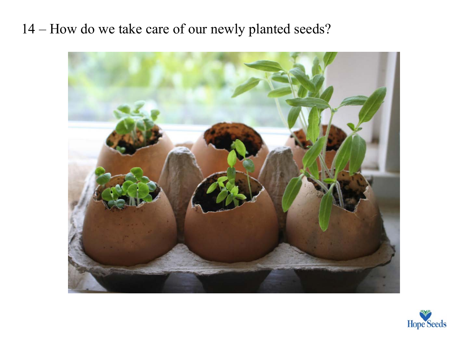14 – How do we take care of our newly planted seeds?



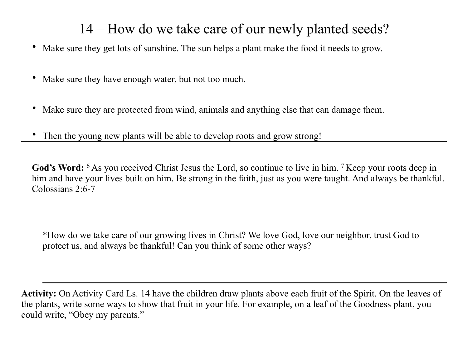## 14 – How do we take care of our newly planted seeds?

- Make sure they get lots of sunshine. The sun helps a plant make the food it needs to grow.
- Make sure they have enough water, but not too much.
- Make sure they are protected from wind, animals and anything else that can damage them.
- Then the young new plants will be able to develop roots and grow strong!

God's Word: <sup>6</sup> As you received Christ Jesus the Lord, so continue to live in him. <sup>7</sup> Keep your roots deep in him and have your lives built on him. Be strong in the faith, just as you were taught. And always be thankful. Colossians 2:6-7

\*How do we take care of our growing lives in Christ? We love God, love our neighbor, trust God to protect us, and always be thankful! Can you think of some other ways?

**Activity:** On Activity Card Ls. 14 have the children draw plants above each fruit of the Spirit. On the leaves of the plants, write some ways to show that fruit in your life. For example, on a leaf of the Goodness plant, you could write, "Obey my parents."